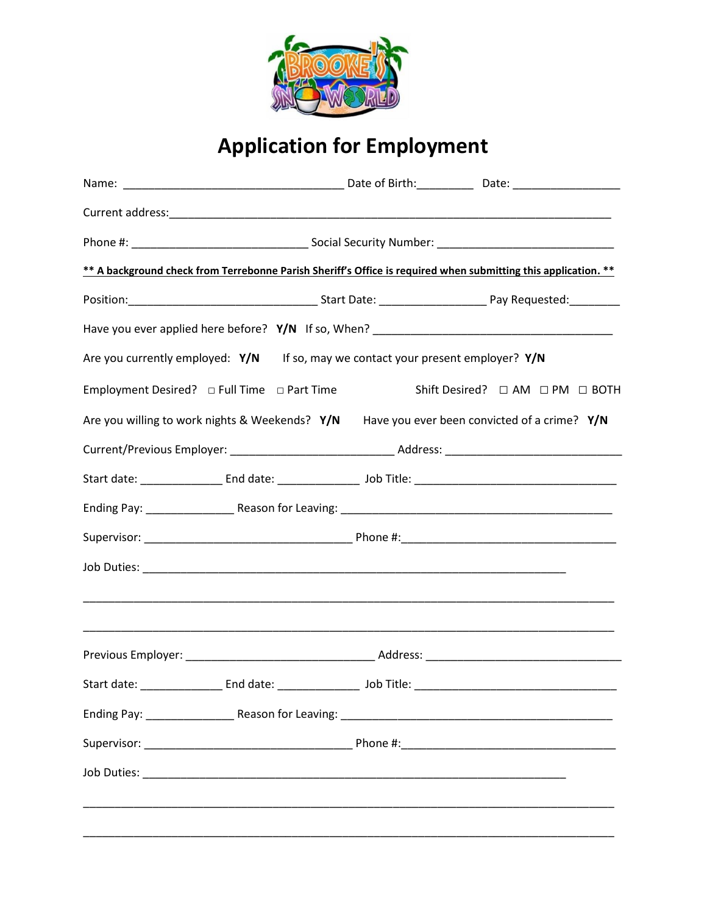

## **Application for Employment**

|                                                                                      | ** A background check from Terrebonne Parish Sheriff's Office is required when submitting this application. **          |
|--------------------------------------------------------------------------------------|-------------------------------------------------------------------------------------------------------------------------|
|                                                                                      |                                                                                                                         |
|                                                                                      |                                                                                                                         |
| Are you currently employed: $Y/N$ If so, may we contact your present employer? $Y/N$ |                                                                                                                         |
|                                                                                      | Shift Desired? □ AM □ PM □ BOTH                                                                                         |
|                                                                                      | Are you willing to work nights & Weekends? Y/N Have you ever been convicted of a crime? Y/N                             |
|                                                                                      |                                                                                                                         |
|                                                                                      |                                                                                                                         |
|                                                                                      |                                                                                                                         |
|                                                                                      |                                                                                                                         |
|                                                                                      |                                                                                                                         |
|                                                                                      | <u> 1989 - Johann John Stoff, deutscher Stoff und der Stoff und der Stoff und der Stoff und der Stoff und der Stoff</u> |
|                                                                                      |                                                                                                                         |
|                                                                                      | Start date: ______________________End date: ___________________________bob Title: _____________________________         |
|                                                                                      |                                                                                                                         |
|                                                                                      |                                                                                                                         |
|                                                                                      |                                                                                                                         |
|                                                                                      |                                                                                                                         |
|                                                                                      |                                                                                                                         |